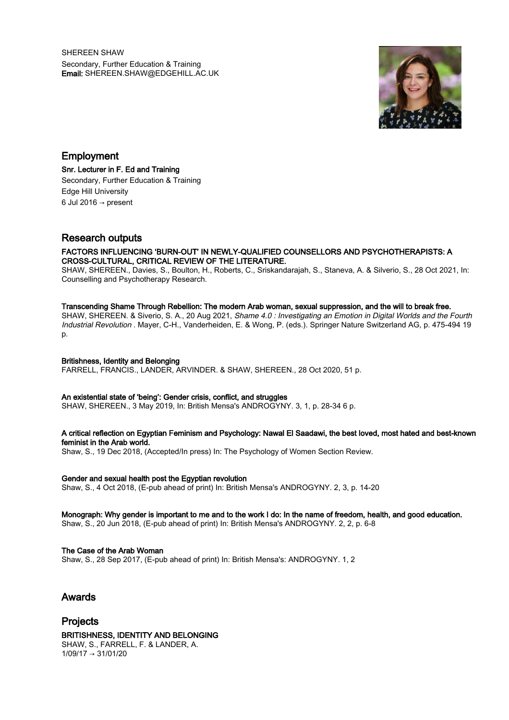SHEREEN SHAW Secondary, Further Education & Training Email: SHEREEN.SHAW@EDGEHILL.AC.UK



Employment Snr. Lecturer in F. Ed and Training Secondary, Further Education & Training Edge Hill University 6 Jul 2016  $\rightarrow$  present

# Research outputs

# FACTORS INFLUENCING 'BURN-OUT' IN NEWLY-QUALIFIED COUNSELLORS AND PSYCHOTHERAPISTS: A CROSS-CULTURAL, CRITICAL REVIEW OF THE LITERATURE.

SHAW, SHEREEN., Davies, S., Boulton, H., Roberts, C., Sriskandarajah, S., Staneva, A. & Silverio, S., 28 Oct 2021, In: Counselling and Psychotherapy Research.

#### Transcending Shame Through Rebellion: The modern Arab woman, sexual suppression, and the will to break free.

SHAW, SHEREEN. & Siverio, S. A., 20 Aug 2021, Shame 4.0 : Investigating an Emotion in Digital Worlds and the Fourth Industrial Revolution . Mayer, C-H., Vanderheiden, E. & Wong, P. (eds.). Springer Nature Switzerland AG, p. 475-494 19 p.

### Britishness, Identity and Belonging

FARRELL, FRANCIS., LANDER, ARVINDER. & SHAW, SHEREEN., 28 Oct 2020, 51 p.

#### An existential state of 'being': Gender crisis, conflict, and struggles

SHAW, SHEREEN., 3 May 2019, In: British Mensa's ANDROGYNY. 3, 1, p. 28-34 6 p.

#### A critical reflection on Egyptian Feminism and Psychology: Nawal El Saadawi, the best loved, most hated and best-known feminist in the Arab world.

Shaw, S., 19 Dec 2018, (Accepted/In press) In: The Psychology of Women Section Review.

#### Gender and sexual health post the Egyptian revolution

Shaw, S., 4 Oct 2018, (E-pub ahead of print) In: British Mensa's ANDROGYNY. 2, 3, p. 14-20

## Monograph: Why gender is important to me and to the work I do: In the name of freedom, health, and good education.

Shaw, S., 20 Jun 2018, (E-pub ahead of print) In: British Mensa's ANDROGYNY. 2, 2, p. 6-8

#### The Case of the Arab Woman

Shaw, S., 28 Sep 2017, (E-pub ahead of print) In: British Mensa's: ANDROGYNY. 1, 2

# Awards

Projects

# BRITISHNESS, IDENTITY AND BELONGING

SHAW, S., FARRELL, F. & LANDER, A.  $1/09/17 \rightarrow 31/01/20$